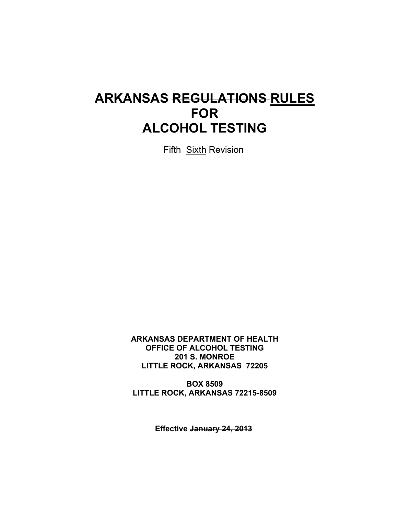# **ARKANSAS REGULATIONS RULES FOR ALCOHOL TESTING**

**- Fifth Sixth Revision** 

**ARKANSAS DEPARTMENT OF HEALTH OFFICE OF ALCOHOL TESTING 201 S. MONROE LITTLE ROCK, ARKANSAS 72205**

**BOX 8509 LITTLE ROCK, ARKANSAS 72215-8509**

**Effective January 24, 2013**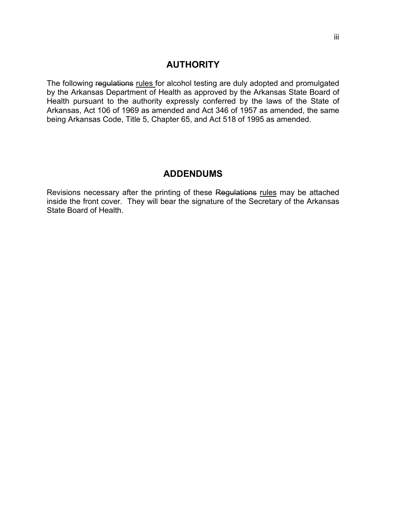# **AUTHORITY**

The following regulations rules for alcohol testing are duly adopted and promulgated by the Arkansas Department of Health as approved by the Arkansas State Board of Health pursuant to the authority expressly conferred by the laws of the State of Arkansas, Act 106 of 1969 as amended and Act 346 of 1957 as amended, the same being Arkansas Code, Title 5, Chapter 65, and Act 518 of 1995 as amended.

# **ADDENDUMS**

Revisions necessary after the printing of these Regulations rules may be attached inside the front cover. They will bear the signature of the Secretary of the Arkansas State Board of Health.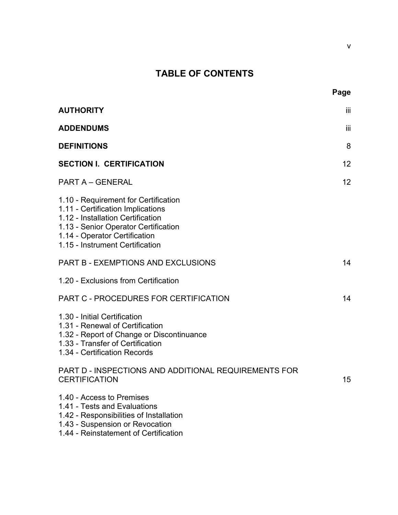# **TABLE OF CONTENTS**

|                                                                                                                                                                                                                            | Page |
|----------------------------------------------------------------------------------------------------------------------------------------------------------------------------------------------------------------------------|------|
| <b>AUTHORITY</b>                                                                                                                                                                                                           | iii  |
| <b>ADDENDUMS</b>                                                                                                                                                                                                           | iii  |
| <b>DEFINITIONS</b>                                                                                                                                                                                                         | 8    |
| <b>SECTION I. CERTIFICATION</b>                                                                                                                                                                                            | 12   |
| <b>PART A - GENERAL</b>                                                                                                                                                                                                    | 12   |
| 1.10 - Requirement for Certification<br>1.11 - Certification Implications<br>1.12 - Installation Certification<br>1.13 - Senior Operator Certification<br>1.14 - Operator Certification<br>1.15 - Instrument Certification |      |
| <b>PART B - EXEMPTIONS AND EXCLUSIONS</b>                                                                                                                                                                                  | 14   |
| 1.20 - Exclusions from Certification                                                                                                                                                                                       |      |
| PART C - PROCEDURES FOR CERTIFICATION                                                                                                                                                                                      | 14   |
| 1.30 - Initial Certification<br>1.31 - Renewal of Certification<br>1.32 - Report of Change or Discontinuance<br>1.33 - Transfer of Certification<br>1.34 - Certification Records                                           |      |
| PART D - INSPECTIONS AND ADDITIONAL REQUIREMENTS FOR<br><b>CERTIFICATION</b>                                                                                                                                               | 15   |
| 1.40 - Access to Premises<br>1.41 - Tests and Evaluations<br>1.42 - Responsibilities of Installation<br>1.43 - Suspension or Revocation<br>1.44 - Reinstatement of Certification                                           |      |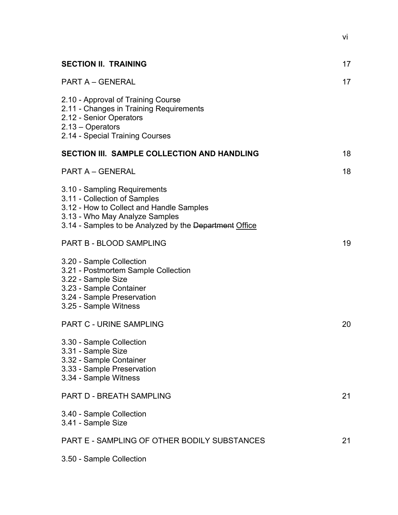| <b>SECTION II. TRAINING</b>                                                                                                                                                                          | 17 |
|------------------------------------------------------------------------------------------------------------------------------------------------------------------------------------------------------|----|
| <b>PART A - GENERAL</b>                                                                                                                                                                              | 17 |
| 2.10 - Approval of Training Course<br>2.11 - Changes in Training Requirements<br>2.12 - Senior Operators<br>$2.13 - Operators$<br>2.14 - Special Training Courses                                    |    |
| SECTION III. SAMPLE COLLECTION AND HANDLING                                                                                                                                                          | 18 |
| <b>PART A - GENERAL</b>                                                                                                                                                                              | 18 |
| 3.10 - Sampling Requirements<br>3.11 - Collection of Samples<br>3.12 - How to Collect and Handle Samples<br>3.13 - Who May Analyze Samples<br>3.14 - Samples to be Analyzed by the Department Office |    |
| <b>PART B - BLOOD SAMPLING</b>                                                                                                                                                                       | 19 |
| 3.20 - Sample Collection<br>3.21 - Postmortem Sample Collection<br>3.22 - Sample Size<br>3.23 - Sample Container<br>3.24 - Sample Preservation<br>3.25 - Sample Witness                              |    |
| <b>PART C - URINE SAMPLING</b>                                                                                                                                                                       | 20 |
| 3.30 - Sample Collection<br>3.31 - Sample Size<br>3.32 - Sample Container<br>3.33 - Sample Preservation<br>3.34 - Sample Witness                                                                     |    |
| PART D - BREATH SAMPLING                                                                                                                                                                             | 21 |
| 3.40 - Sample Collection<br>3.41 - Sample Size                                                                                                                                                       |    |
| PART E - SAMPLING OF OTHER BODILY SUBSTANCES                                                                                                                                                         | 21 |
| 3.50 - Sample Collection                                                                                                                                                                             |    |

vi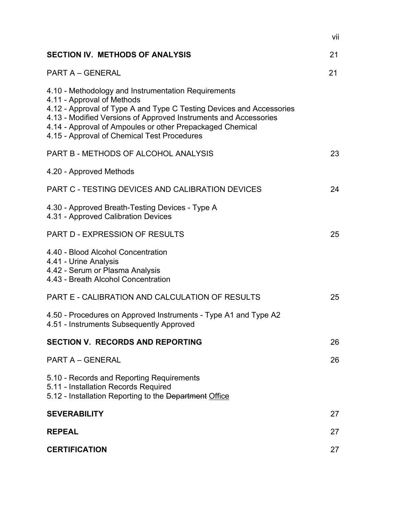|                                                                                                                                                                                                                                                                                                                                           | vii |
|-------------------------------------------------------------------------------------------------------------------------------------------------------------------------------------------------------------------------------------------------------------------------------------------------------------------------------------------|-----|
| <b>SECTION IV. METHODS OF ANALYSIS</b>                                                                                                                                                                                                                                                                                                    | 21  |
| <b>PART A - GENERAL</b>                                                                                                                                                                                                                                                                                                                   | 21  |
| 4.10 - Methodology and Instrumentation Requirements<br>4.11 - Approval of Methods<br>4.12 - Approval of Type A and Type C Testing Devices and Accessories<br>4.13 - Modified Versions of Approved Instruments and Accessories<br>4.14 - Approval of Ampoules or other Prepackaged Chemical<br>4.15 - Approval of Chemical Test Procedures |     |
| PART B - METHODS OF ALCOHOL ANALYSIS                                                                                                                                                                                                                                                                                                      | 23  |
| 4.20 - Approved Methods                                                                                                                                                                                                                                                                                                                   |     |
| PART C - TESTING DEVICES AND CALIBRATION DEVICES                                                                                                                                                                                                                                                                                          | 24  |
| 4.30 - Approved Breath-Testing Devices - Type A<br>4.31 - Approved Calibration Devices                                                                                                                                                                                                                                                    |     |
| PART D - EXPRESSION OF RESULTS                                                                                                                                                                                                                                                                                                            | 25  |
| 4.40 - Blood Alcohol Concentration<br>4.41 - Urine Analysis<br>4.42 - Serum or Plasma Analysis<br>4.43 - Breath Alcohol Concentration                                                                                                                                                                                                     |     |
| PART E - CALIBRATION AND CALCULATION OF RESULTS                                                                                                                                                                                                                                                                                           | 25  |
| 4.50 - Procedures on Approved Instruments - Type A1 and Type A2<br>4.51 - Instruments Subsequently Approved                                                                                                                                                                                                                               |     |
| <b>SECTION V. RECORDS AND REPORTING</b>                                                                                                                                                                                                                                                                                                   | 26  |
| <b>PART A - GENERAL</b>                                                                                                                                                                                                                                                                                                                   | 26  |
| 5.10 - Records and Reporting Requirements<br>5.11 - Installation Records Required<br>5.12 - Installation Reporting to the Department Office                                                                                                                                                                                               |     |
| <b>SEVERABILITY</b>                                                                                                                                                                                                                                                                                                                       | 27  |
| <b>REPEAL</b>                                                                                                                                                                                                                                                                                                                             | 27  |
| <b>CERTIFICATION</b>                                                                                                                                                                                                                                                                                                                      | 27  |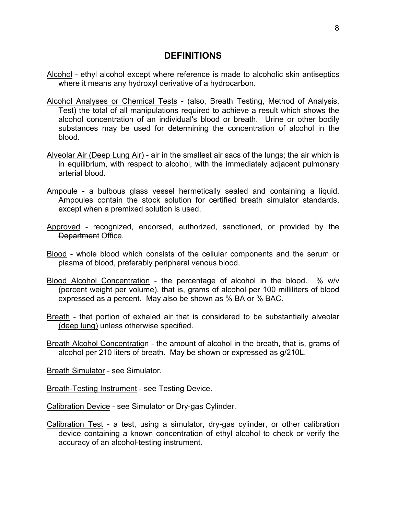#### **DEFINITIONS**

- Alcohol ethyl alcohol except where reference is made to alcoholic skin antiseptics where it means any hydroxyl derivative of a hydrocarbon.
- Alcohol Analyses or Chemical Tests (also, Breath Testing, Method of Analysis, Test) the total of all manipulations required to achieve a result which shows the alcohol concentration of an individual's blood or breath. Urine or other bodily substances may be used for determining the concentration of alcohol in the blood.
- Alveolar Air (Deep Lung Air) air in the smallest air sacs of the lungs; the air which is in equilibrium, with respect to alcohol, with the immediately adjacent pulmonary arterial blood.
- Ampoule a bulbous glass vessel hermetically sealed and containing a liquid. Ampoules contain the stock solution for certified breath simulator standards, except when a premixed solution is used.
- Approved recognized, endorsed, authorized, sanctioned, or provided by the **Department Office.**
- Blood whole blood which consists of the cellular components and the serum or plasma of blood, preferably peripheral venous blood.
- Blood Alcohol Concentration the percentage of alcohol in the blood. % w/v (percent weight per volume), that is, grams of alcohol per 100 milliliters of blood expressed as a percent. May also be shown as % BA or % BAC.
- Breath that portion of exhaled air that is considered to be substantially alveolar (deep lung) unless otherwise specified.
- Breath Alcohol Concentration the amount of alcohol in the breath, that is, grams of alcohol per 210 liters of breath. May be shown or expressed as g/210L.

Breath Simulator - see Simulator.

Breath-Testing Instrument - see Testing Device.

Calibration Device - see Simulator or Dry-gas Cylinder.

Calibration Test - a test, using a simulator, dry-gas cylinder, or other calibration device containing a known concentration of ethyl alcohol to check or verify the accuracy of an alcohol-testing instrument.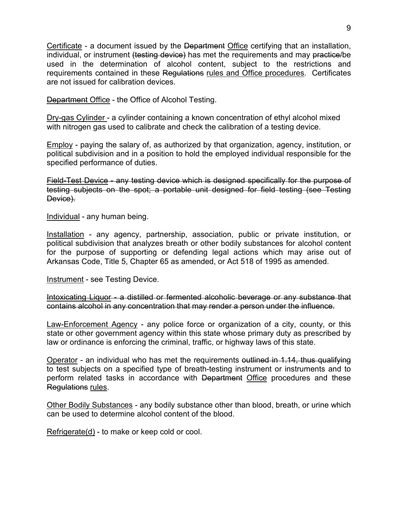Certificate - a document issued by the Department Office certifying that an installation, individual, or instrument (testing device) has met the requirements and may practice/be used in the determination of alcohol content, subject to the restrictions and requirements contained in these Regulations rules and Office procedures. Certificates are not issued for calibration devices.

Department Office - the Office of Alcohol Testing.

Dry-gas Cylinder - a cylinder containing a known concentration of ethyl alcohol mixed with nitrogen gas used to calibrate and check the calibration of a testing device.

Employ - paying the salary of, as authorized by that organization, agency, institution, or political subdivision and in a position to hold the employed individual responsible for the specified performance of duties.

Field-Test Device - any testing device which is designed specifically for the purpose of testing subjects on the spot; a portable unit designed for field testing (see Testing Device).

Individual - any human being.

Installation - any agency, partnership, association, public or private institution, or political subdivision that analyzes breath or other bodily substances for alcohol content for the purpose of supporting or defending legal actions which may arise out of Arkansas Code, Title 5, Chapter 65 as amended, or Act 518 of 1995 as amended.

Instrument - see Testing Device.

Intoxicating Liquor - a distilled or fermented alcoholic beverage or any substance that contains alcohol in any concentration that may render a person under the influence.

Law-Enforcement Agency - any police force or organization of a city, county, or this state or other government agency within this state whose primary duty as prescribed by law or ordinance is enforcing the criminal, traffic, or highway laws of this state.

Operator - an individual who has met the requirements outlined in 1.14, thus qualifying to test subjects on a specified type of breath-testing instrument or instruments and to perform related tasks in accordance with Department Office procedures and these Regulations rules.

Other Bodily Substances - any bodily substance other than blood, breath, or urine which can be used to determine alcohol content of the blood.

Refrigerate(d) - to make or keep cold or cool.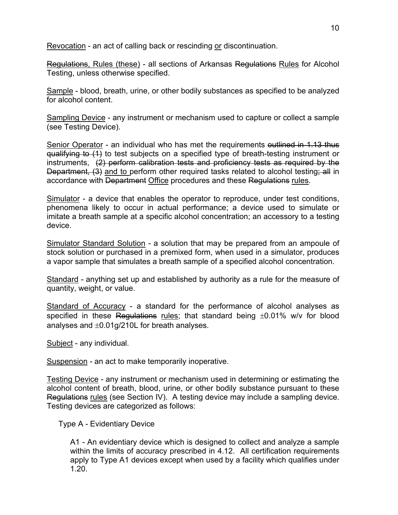Revocation - an act of calling back or rescinding or discontinuation.

Regulations, Rules (these) - all sections of Arkansas Regulations Rules for Alcohol Testing, unless otherwise specified.

Sample - blood, breath, urine, or other bodily substances as specified to be analyzed for alcohol content.

Sampling Device - any instrument or mechanism used to capture or collect a sample (see Testing Device).

Senior Operator - an individual who has met the requirements outlined in 1.13 thus qualifying to (1) to test subjects on a specified type of breath-testing instrument or instruments, (2) perform calibration tests and proficiency tests as required by the Department, (3) and to perform other required tasks related to alcohol testing; all in accordance with Department Office procedures and these Regulations rules.

Simulator - a device that enables the operator to reproduce, under test conditions, phenomena likely to occur in actual performance; a device used to simulate or imitate a breath sample at a specific alcohol concentration; an accessory to a testing device.

Simulator Standard Solution - a solution that may be prepared from an ampoule of stock solution or purchased in a premixed form, when used in a simulator, produces a vapor sample that simulates a breath sample of a specified alcohol concentration.

Standard - anything set up and established by authority as a rule for the measure of quantity, weight, or value.

Standard of Accuracy - a standard for the performance of alcohol analyses as specified in these Regulations rules; that standard being  $\pm 0.01\%$  w/v for blood analyses and ±0.01g/210L for breath analyses.

Subject - any individual.

Suspension - an act to make temporarily inoperative.

Testing Device - any instrument or mechanism used in determining or estimating the alcohol content of breath, blood, urine, or other bodily substance pursuant to these Regulations rules (see Section IV). A testing device may include a sampling device. Testing devices are categorized as follows:

Type A - Evidentiary Device

A1 - An evidentiary device which is designed to collect and analyze a sample within the limits of accuracy prescribed in 4.12. All certification requirements apply to Type A1 devices except when used by a facility which qualifies under 1.20.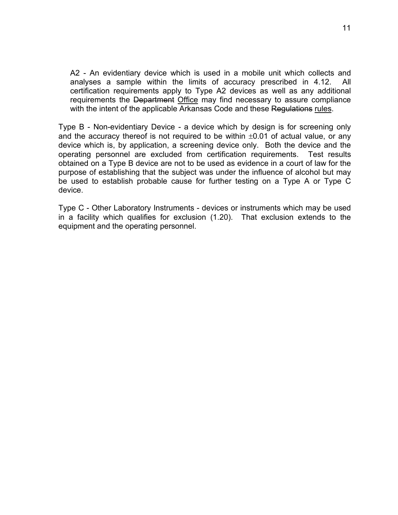A2 - An evidentiary device which is used in a mobile unit which collects and analyses a sample within the limits of accuracy prescribed in 4.12. All certification requirements apply to Type A2 devices as well as any additional requirements the Department Office may find necessary to assure compliance with the intent of the applicable Arkansas Code and these Regulations rules.

Type B - Non-evidentiary Device - a device which by design is for screening only and the accuracy thereof is not required to be within  $\pm 0.01$  of actual value, or any device which is, by application, a screening device only. Both the device and the operating personnel are excluded from certification requirements. Test results obtained on a Type B device are not to be used as evidence in a court of law for the purpose of establishing that the subject was under the influence of alcohol but may be used to establish probable cause for further testing on a Type A or Type C device.

Type C - Other Laboratory Instruments - devices or instruments which may be used in a facility which qualifies for exclusion (1.20). That exclusion extends to the equipment and the operating personnel.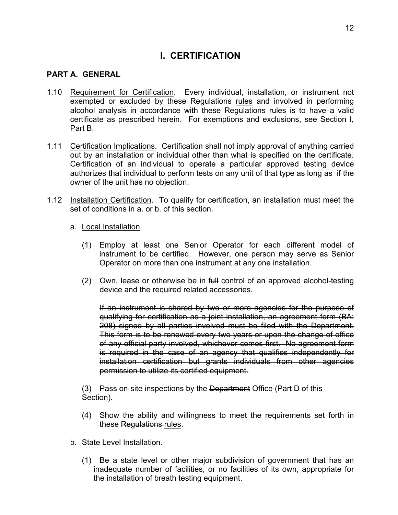# **I. CERTIFICATION**

#### **PART A. GENERAL**

- 1.10 Requirement for Certification. Every individual, installation, or instrument not exempted or excluded by these Regulations rules and involved in performing alcohol analysis in accordance with these Regulations rules is to have a valid certificate as prescribed herein. For exemptions and exclusions, see Section I, Part B.
- 1.11 Certification Implications. Certification shall not imply approval of anything carried out by an installation or individual other than what is specified on the certificate. Certification of an individual to operate a particular approved testing device authorizes that individual to perform tests on any unit of that type as long as if the owner of the unit has no objection.
- 1.12 Installation Certification. To qualify for certification, an installation must meet the set of conditions in a. or b. of this section.
	- a. Local Installation.
		- (1) Employ at least one Senior Operator for each different model of instrument to be certified. However, one person may serve as Senior Operator on more than one instrument at any one installation.
		- $(2)$  Own, lease or otherwise be in  $f_{\text{H}}$  control of an approved alcohol-testing device and the required related accessories.

If an instrument is shared by two or more agencies for the purpose of qualifying for certification as a joint installation, an agreement form (BA: 208) signed by all parties involved must be filed with the Department. This form is to be renewed every two years or upon the change of office of any official party involved, whichever comes first. No agreement form is required in the case of an agency that qualifies independently for installation certification but grants individuals from other agencies permission to utilize its certified equipment.

(3) Pass on-site inspections by the Department Office (Part D of this Section).

(4) Show the ability and willingness to meet the requirements set forth in these Regulations rules.

#### b. State Level Installation.

(1) Be a state level or other major subdivision of government that has an inadequate number of facilities, or no facilities of its own, appropriate for the installation of breath testing equipment.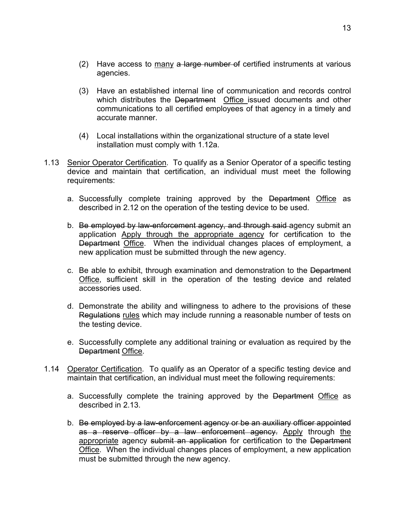- (2) Have access to  $\frac{many}{r}$  a large number of certified instruments at various agencies.
- (3) Have an established internal line of communication and records control which distributes the Department Office issued documents and other communications to all certified employees of that agency in a timely and accurate manner.
- (4) Local installations within the organizational structure of a state level installation must comply with 1.12a.
- 1.13 Senior Operator Certification. To qualify as a Senior Operator of a specific testing device and maintain that certification, an individual must meet the following requirements:
	- a. Successfully complete training approved by the Department Office as described in 2.12 on the operation of the testing device to be used.
	- b. Be employed by law-enforcement agency, and through said-agency submit an application Apply through the appropriate agency for certification to the Department Office. When the individual changes places of employment, a new application must be submitted through the new agency.
	- c. Be able to exhibit, through examination and demonstration to the Department Office, sufficient skill in the operation of the testing device and related accessories used.
	- d. Demonstrate the ability and willingness to adhere to the provisions of these Regulations rules which may include running a reasonable number of tests on the testing device.
	- e. Successfully complete any additional training or evaluation as required by the Department Office.
- 1.14 Operator Certification. To qualify as an Operator of a specific testing device and maintain that certification, an individual must meet the following requirements:
	- a. Successfully complete the training approved by the Department Office as described in 2.13.
	- b. Be employed by a law-enforcement agency or be an auxiliary officer appointed as a reserve officer by a law enforcement agency. Apply through the appropriate agency submit an application for certification to the Department Office. When the individual changes places of employment, a new application must be submitted through the new agency.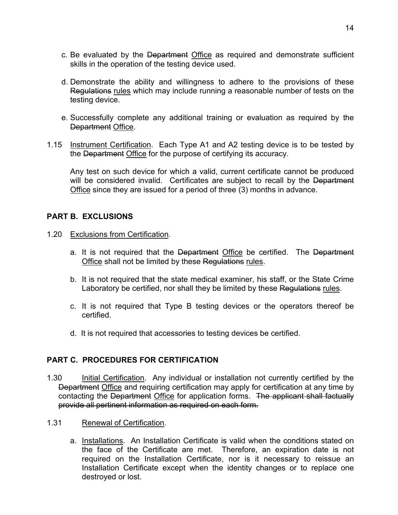- c. Be evaluated by the Department Office as required and demonstrate sufficient skills in the operation of the testing device used.
- d. Demonstrate the ability and willingness to adhere to the provisions of these Regulations rules which may include running a reasonable number of tests on the testing device.
- e. Successfully complete any additional training or evaluation as required by the Department Office.
- 1.15 Instrument Certification. Each Type A1 and A2 testing device is to be tested by the Department Office for the purpose of certifying its accuracy.

Any test on such device for which a valid, current certificate cannot be produced will be considered invalid. Certificates are subject to recall by the Department Office since they are issued for a period of three (3) months in advance.

#### **PART B. EXCLUSIONS**

- 1.20 Exclusions from Certification.
	- a. It is not required that the Department Office be certified. The Department Office shall not be limited by these Regulations rules.
	- b. It is not required that the state medical examiner, his staff, or the State Crime Laboratory be certified, nor shall they be limited by these Regulations rules.
	- c. It is not required that Type B testing devices or the operators thereof be certified.
	- d. It is not required that accessories to testing devices be certified.

### **PART C. PROCEDURES FOR CERTIFICATION**

- 1.30 Initial Certification. Any individual or installation not currently certified by the Department Office and requiring certification may apply for certification at any time by contacting the Department Office for application forms. The applicant shall factually provide all pertinent information as required on each form.
- 1.31 Renewal of Certification.
	- a. Installations. An Installation Certificate is valid when the conditions stated on the face of the Certificate are met. Therefore, an expiration date is not required on the Installation Certificate, nor is it necessary to reissue an Installation Certificate except when the identity changes or to replace one destroyed or lost.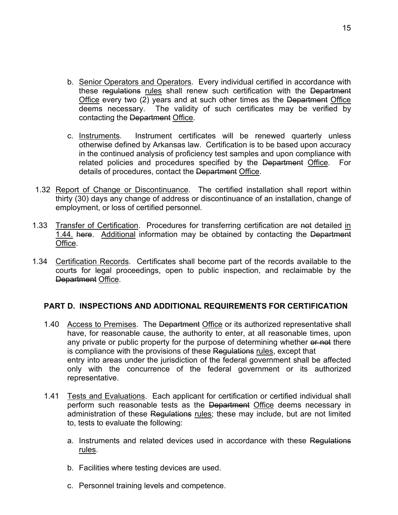- b. Senior Operators and Operators. Every individual certified in accordance with these regulations rules shall renew such certification with the Department Office every two (2) years and at such other times as the Department Office deems necessary. The validity of such certificates may be verified by contacting the Department Office.
- c. Instruments. Instrument certificates will be renewed quarterly unless otherwise defined by Arkansas law. Certification is to be based upon accuracy in the continued analysis of proficiency test samples and upon compliance with related policies and procedures specified by the Department Office. For details of procedures, contact the Department Office.
- 1.32 Report of Change or Discontinuance. The certified installation shall report within thirty (30) days any change of address or discontinuance of an installation, change of employment, or loss of certified personnel.
- 1.33 Transfer of Certification. Procedures for transferring certification are not detailed in 1.44. here. Additional information may be obtained by contacting the Department Office.
- 1.34 Certification Records. Certificates shall become part of the records available to the courts for legal proceedings, open to public inspection, and reclaimable by the Department Office.

#### **PART D. INSPECTIONS AND ADDITIONAL REQUIREMENTS FOR CERTIFICATION**

- 1.40 Access to Premises. The Department Office or its authorized representative shall have, for reasonable cause, the authority to enter, at all reasonable times, upon any private or public property for the purpose of determining whether or not there is compliance with the provisions of these Regulations rules, except that entry into areas under the jurisdiction of the federal government shall be affected only with the concurrence of the federal government or its authorized representative.
- 1.41 Tests and Evaluations. Each applicant for certification or certified individual shall perform such reasonable tests as the Department Office deems necessary in administration of these Regulations rules; these may include, but are not limited to, tests to evaluate the following:
	- a. Instruments and related devices used in accordance with these Regulations rules.
	- b. Facilities where testing devices are used.
	- c. Personnel training levels and competence.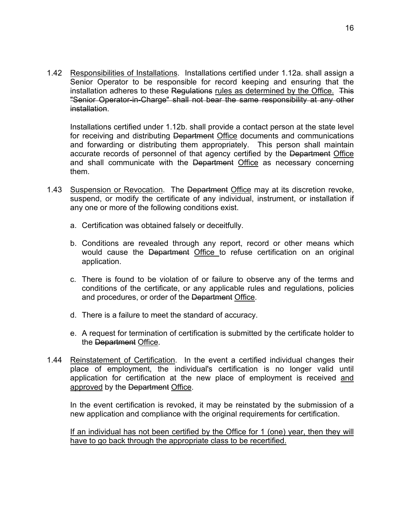1.42 Responsibilities of Installations. Installations certified under 1.12a. shall assign a Senior Operator to be responsible for record keeping and ensuring that the installation adheres to these Regulations rules as determined by the Office. This "Senior Operator-in-Charge" shall not bear the same responsibility at any other installation.

Installations certified under 1.12b. shall provide a contact person at the state level for receiving and distributing Department Office documents and communications and forwarding or distributing them appropriately. This person shall maintain accurate records of personnel of that agency certified by the Department Office and shall communicate with the Department Office as necessary concerning them.

- 1.43 Suspension or Revocation. The Department Office may at its discretion revoke, suspend, or modify the certificate of any individual, instrument, or installation if any one or more of the following conditions exist.
	- a. Certification was obtained falsely or deceitfully.
	- b. Conditions are revealed through any report, record or other means which would cause the Department Office to refuse certification on an original application.
	- c. There is found to be violation of or failure to observe any of the terms and conditions of the certificate, or any applicable rules and regulations, policies and procedures, or order of the Department Office.
	- d. There is a failure to meet the standard of accuracy.
	- e. A request for termination of certification is submitted by the certificate holder to the Department Office.
- 1.44 Reinstatement of Certification. In the event a certified individual changes their place of employment, the individual's certification is no longer valid until application for certification at the new place of employment is received and approved by the Department Office.

In the event certification is revoked, it may be reinstated by the submission of a new application and compliance with the original requirements for certification.

If an individual has not been certified by the Office for 1 (one) year, then they will have to go back through the appropriate class to be recertified.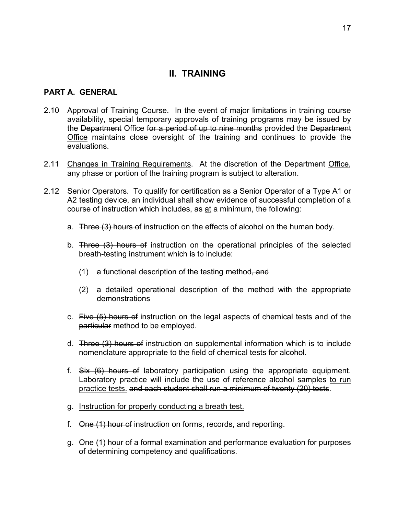# **II. TRAINING**

#### **PART A. GENERAL**

- 2.10 Approval of Training Course. In the event of major limitations in training course availability, special temporary approvals of training programs may be issued by the Department Office for a period of up to nine months provided the Department Office maintains close oversight of the training and continues to provide the evaluations.
- 2.11 Changes in Training Requirements. At the discretion of the Department Office, any phase or portion of the training program is subject to alteration.
- 2.12 Senior Operators. To qualify for certification as a Senior Operator of a Type A1 or A2 testing device, an individual shall show evidence of successful completion of a course of instruction which includes, as at a minimum, the following:
	- a. Three (3) hours of instruction on the effects of alcohol on the human body.
	- b. Three (3) hours of instruction on the operational principles of the selected breath-testing instrument which is to include:
		- (1) a functional description of the testing method, and
		- (2) a detailed operational description of the method with the appropriate demonstrations
	- c. Five (5) hours of instruction on the legal aspects of chemical tests and of the particular method to be employed.
	- d. Three (3) hours of instruction on supplemental information which is to include nomenclature appropriate to the field of chemical tests for alcohol.
	- f. Six (6) hours of laboratory participation using the appropriate equipment. Laboratory practice will include the use of reference alcohol samples to run practice tests. and each student shall run a minimum of twenty (20) tests.
	- g. Instruction for properly conducting a breath test.
	- f. One (1) hour of instruction on forms, records, and reporting.
	- g. One (1) hour of a formal examination and performance evaluation for purposes of determining competency and qualifications.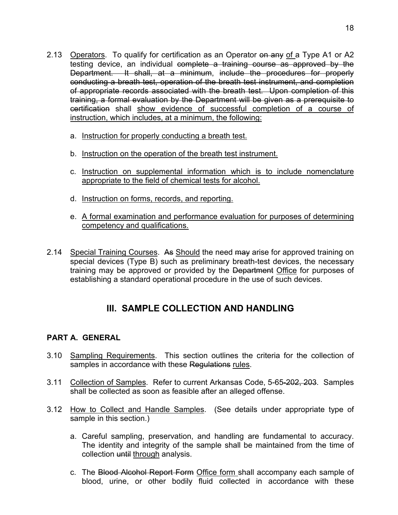- 2.13 Operators. To qualify for certification as an Operator on any of a Type A1 or A2 testing device, an individual complete a training course as approved by the Department. It shall, at a minimum, include the procedures for properly conducting a breath test, operation of the breath test instrument, and completion of appropriate records associated with the breath test. Upon completion of this training, a formal evaluation by the Department will be given as a prerequisite to certification shall show evidence of successful completion of a course of instruction, which includes, at a minimum, the following:
	- a. Instruction for properly conducting a breath test.
	- b. Instruction on the operation of the breath test instrument.
	- c. Instruction on supplemental information which is to include nomenclature appropriate to the field of chemical tests for alcohol.
	- d. Instruction on forms, records, and reporting.
	- e. A formal examination and performance evaluation for purposes of determining competency and qualifications.
- 2.14 Special Training Courses. As Should the need may arise for approved training on special devices (Type B) such as preliminary breath-test devices, the necessary training may be approved or provided by the Department Office for purposes of establishing a standard operational procedure in the use of such devices.

# **III. SAMPLE COLLECTION AND HANDLING**

### **PART A. GENERAL**

- 3.10 Sampling Requirements. This section outlines the criteria for the collection of samples in accordance with these Regulations rules.
- 3.11 Collection of Samples. Refer to current Arkansas Code, 5-65-202, 203. Samples shall be collected as soon as feasible after an alleged offense.
- 3.12 How to Collect and Handle Samples. (See details under appropriate type of sample in this section.)
	- a. Careful sampling, preservation, and handling are fundamental to accuracy. The identity and integrity of the sample shall be maintained from the time of collection until through analysis.
	- c. The Blood Alcohol Report Form Office form shall accompany each sample of blood, urine, or other bodily fluid collected in accordance with these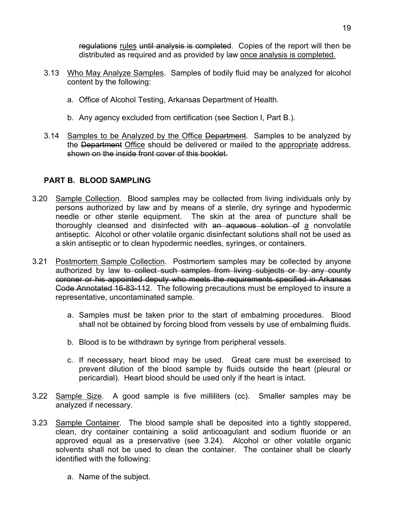regulations rules until analysis is completed. Copies of the report will then be distributed as required and as provided by law once analysis is completed.

- 3.13 Who May Analyze Samples. Samples of bodily fluid may be analyzed for alcohol content by the following:
	- a. Office of Alcohol Testing, Arkansas Department of Health.
	- b. Any agency excluded from certification (see Section I, Part B.).
- 3.14 Samples to be Analyzed by the Office Department. Samples to be analyzed by the Department Office should be delivered or mailed to the appropriate address. shown on the inside front cover of this booklet.

# **PART B. BLOOD SAMPLING**

- 3.20 Sample Collection. Blood samples may be collected from living individuals only by persons authorized by law and by means of a sterile, dry syringe and hypodermic needle or other sterile equipment. The skin at the area of puncture shall be thoroughly cleansed and disinfected with an aqueous solution of a nonvolatile antiseptic. Alcohol or other volatile organic disinfectant solutions shall not be used as a skin antiseptic or to clean hypodermic needles, syringes, or containers.
- 3.21 Postmortem Sample Collection. Postmortem samples may be collected by anyone authorized by law to collect such samples from living subjects or by any county coroner or his appointed deputy who meets the requirements specified in Arkansas Code Annotated 16-83-112. The following precautions must be employed to insure a representative, uncontaminated sample.
	- a. Samples must be taken prior to the start of embalming procedures. Blood shall not be obtained by forcing blood from vessels by use of embalming fluids.
	- b. Blood is to be withdrawn by syringe from peripheral vessels.
	- c. If necessary, heart blood may be used. Great care must be exercised to prevent dilution of the blood sample by fluids outside the heart (pleural or pericardial). Heart blood should be used only if the heart is intact.
- 3.22 Sample Size. A good sample is five milliliters (cc). Smaller samples may be analyzed if necessary.
- 3.23 Sample Container. The blood sample shall be deposited into a tightly stoppered, clean, dry container containing a solid anticoagulant and sodium fluoride or an approved equal as a preservative (see 3.24). Alcohol or other volatile organic solvents shall not be used to clean the container. The container shall be clearly identified with the following:
	- a. Name of the subject.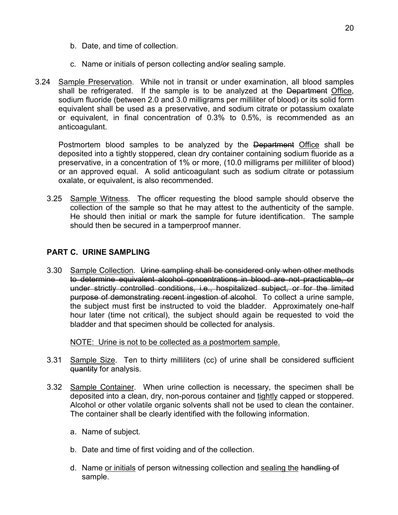- b. Date, and time of collection.
- c. Name or initials of person collecting and/or sealing sample.
- 3.24 Sample Preservation. While not in transit or under examination, all blood samples shall be refrigerated. If the sample is to be analyzed at the Department Office, sodium fluoride (between 2.0 and 3.0 milligrams per milliliter of blood) or its solid form equivalent shall be used as a preservative, and sodium citrate or potassium oxalate or equivalent, in final concentration of 0.3% to 0.5%, is recommended as an anticoagulant.

Postmortem blood samples to be analyzed by the Department Office shall be deposited into a tightly stoppered, clean dry container containing sodium fluoride as a preservative, in a concentration of 1% or more, (10.0 milligrams per milliliter of blood) or an approved equal. A solid anticoagulant such as sodium citrate or potassium oxalate, or equivalent, is also recommended.

3.25 Sample Witness. The officer requesting the blood sample should observe the collection of the sample so that he may attest to the authenticity of the sample. He should then initial or mark the sample for future identification. The sample should then be secured in a tamperproof manner.

#### **PART C. URINE SAMPLING**

3.30 Sample Collection. Urine sampling shall be considered only when other methods to determine equivalent alcohol concentrations in blood are not practicable, or under strictly controlled conditions, i.e., hospitalized subject, or for the limited purpose of demonstrating recent ingestion of alcohol. To collect a urine sample, the subject must first be instructed to void the bladder. Approximately one-half hour later (time not critical), the subject should again be requested to void the bladder and that specimen should be collected for analysis.

NOTE: Urine is not to be collected as a postmortem sample.

- 3.31 Sample Size. Ten to thirty milliliters (cc) of urine shall be considered sufficient quantity for analysis.
- 3.32 Sample Container. When urine collection is necessary, the specimen shall be deposited into a clean, dry, non-porous container and tightly capped or stoppered. Alcohol or other volatile organic solvents shall not be used to clean the container. The container shall be clearly identified with the following information.
	- a. Name of subject.
	- b. Date and time of first voiding and of the collection.
	- d. Name or initials of person witnessing collection and sealing the handling of sample.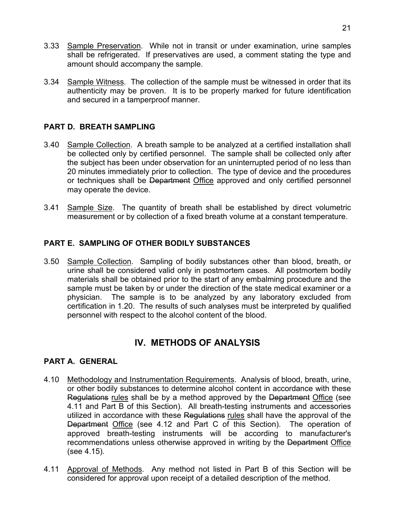- 3.33 Sample Preservation. While not in transit or under examination, urine samples shall be refrigerated. If preservatives are used, a comment stating the type and amount should accompany the sample.
- 3.34 Sample Witness. The collection of the sample must be witnessed in order that its authenticity may be proven. It is to be properly marked for future identification and secured in a tamperproof manner.

#### **PART D. BREATH SAMPLING**

- 3.40 Sample Collection. A breath sample to be analyzed at a certified installation shall be collected only by certified personnel. The sample shall be collected only after the subject has been under observation for an uninterrupted period of no less than 20 minutes immediately prior to collection. The type of device and the procedures or techniques shall be Department Office approved and only certified personnel may operate the device.
- 3.41 Sample Size. The quantity of breath shall be established by direct volumetric measurement or by collection of a fixed breath volume at a constant temperature.

#### **PART E. SAMPLING OF OTHER BODILY SUBSTANCES**

3.50 Sample Collection. Sampling of bodily substances other than blood, breath, or urine shall be considered valid only in postmortem cases. All postmortem bodily materials shall be obtained prior to the start of any embalming procedure and the sample must be taken by or under the direction of the state medical examiner or a physician. The sample is to be analyzed by any laboratory excluded from certification in 1.20. The results of such analyses must be interpreted by qualified personnel with respect to the alcohol content of the blood.

# **IV. METHODS OF ANALYSIS**

#### **PART A. GENERAL**

- 4.10 Methodology and Instrumentation Requirements. Analysis of blood, breath, urine, or other bodily substances to determine alcohol content in accordance with these Regulations rules shall be by a method approved by the Department Office (see 4.11 and Part B of this Section). All breath-testing instruments and accessories utilized in accordance with these Regulations rules shall have the approval of the Department Office (see 4.12 and Part C of this Section). The operation of approved breath-testing instruments will be according to manufacturer's recommendations unless otherwise approved in writing by the Department Office (see 4.15).
- 4.11 Approval of Methods. Any method not listed in Part B of this Section will be considered for approval upon receipt of a detailed description of the method.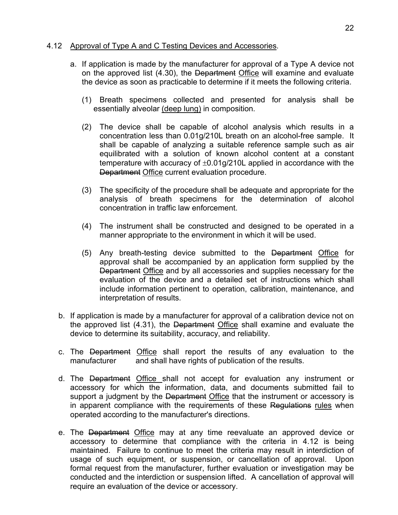#### 4.12 Approval of Type A and C Testing Devices and Accessories.

- a. If application is made by the manufacturer for approval of a Type A device not on the approved list (4.30), the Department Office will examine and evaluate the device as soon as practicable to determine if it meets the following criteria.
	- (1) Breath specimens collected and presented for analysis shall be essentially alveolar (deep lung) in composition.
	- (2) The device shall be capable of alcohol analysis which results in a concentration less than 0.01g/210L breath on an alcohol-free sample. It shall be capable of analyzing a suitable reference sample such as air equilibrated with a solution of known alcohol content at a constant temperature with accuracy of  $\pm 0.01$ g/210L applied in accordance with the Department Office current evaluation procedure.
	- (3) The specificity of the procedure shall be adequate and appropriate for the analysis of breath specimens for the determination of alcohol concentration in traffic law enforcement.
	- (4) The instrument shall be constructed and designed to be operated in a manner appropriate to the environment in which it will be used.
	- (5) Any breath-testing device submitted to the Department Office for approval shall be accompanied by an application form supplied by the Department Office and by all accessories and supplies necessary for the evaluation of the device and a detailed set of instructions which shall include information pertinent to operation, calibration, maintenance, and interpretation of results.
- b. If application is made by a manufacturer for approval of a calibration device not on the approved list (4.31), the Department Office shall examine and evaluate the device to determine its suitability, accuracy, and reliability.
- c. The Department Office shall report the results of any evaluation to the manufacturer and shall have rights of publication of the results.
- d. The Department Office shall not accept for evaluation any instrument or accessory for which the information, data, and documents submitted fail to support a judgment by the Department Office that the instrument or accessory is in apparent compliance with the requirements of these Regulations rules when operated according to the manufacturer's directions.
- e. The Department Office may at any time reevaluate an approved device or accessory to determine that compliance with the criteria in 4.12 is being maintained. Failure to continue to meet the criteria may result in interdiction of usage of such equipment, or suspension, or cancellation of approval. Upon formal request from the manufacturer, further evaluation or investigation may be conducted and the interdiction or suspension lifted. A cancellation of approval will require an evaluation of the device or accessory.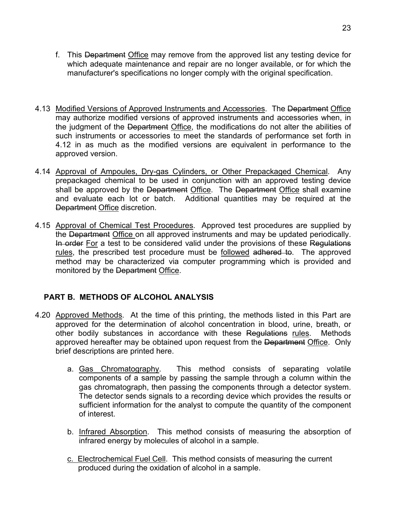- f. This Department Office may remove from the approved list any testing device for which adequate maintenance and repair are no longer available, or for which the manufacturer's specifications no longer comply with the original specification.
- 4.13 Modified Versions of Approved Instruments and Accessories. The Department Office may authorize modified versions of approved instruments and accessories when, in the judgment of the Department Office, the modifications do not alter the abilities of such instruments or accessories to meet the standards of performance set forth in 4.12 in as much as the modified versions are equivalent in performance to the approved version.
- 4.14 Approval of Ampoules, Dry-gas Cylinders, or Other Prepackaged Chemical. Any prepackaged chemical to be used in conjunction with an approved testing device shall be approved by the Department Office. The Department Office shall examine and evaluate each lot or batch. Additional quantities may be required at the Department Office discretion.
- 4.15 Approval of Chemical Test Procedures. Approved test procedures are supplied by the Department Office on all approved instruments and may be updated periodically. In order For a test to be considered valid under the provisions of these Regulations rules, the prescribed test procedure must be followed adhered to. The approved method may be characterized via computer programming which is provided and monitored by the Department Office.

### **PART B. METHODS OF ALCOHOL ANALYSIS**

- 4.20 Approved Methods. At the time of this printing, the methods listed in this Part are approved for the determination of alcohol concentration in blood, urine, breath, or other bodily substances in accordance with these Regulations rules. Methods approved hereafter may be obtained upon request from the Department Office. Only brief descriptions are printed here.
	- a. Gas Chromatography. This method consists of separating volatile components of a sample by passing the sample through a column within the gas chromatograph, then passing the components through a detector system. The detector sends signals to a recording device which provides the results or sufficient information for the analyst to compute the quantity of the component of interest.
	- b. Infrared Absorption. This method consists of measuring the absorption of infrared energy by molecules of alcohol in a sample.
	- c. Electrochemical Fuel Cell. This method consists of measuring the current produced during the oxidation of alcohol in a sample.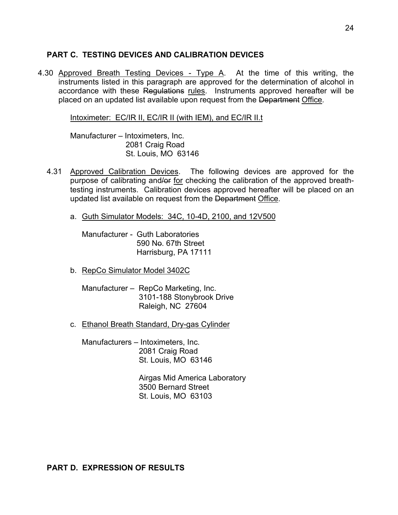#### **PART C. TESTING DEVICES AND CALIBRATION DEVICES**

4.30 Approved Breath Testing Devices - Type A. At the time of this writing, the instruments listed in this paragraph are approved for the determination of alcohol in accordance with these Regulations rules. Instruments approved hereafter will be placed on an updated list available upon request from the Department Office.

Intoximeter: EC/IR II, EC/IR II (with IEM), and EC/IR II.t

Manufacturer – Intoximeters, Inc. 2081 Craig Road St. Louis, MO 63146

- 4.31 Approved Calibration Devices. The following devices are approved for the purpose of calibrating and/or for checking the calibration of the approved breathtesting instruments. Calibration devices approved hereafter will be placed on an updated list available on request from the Department Office.
	- a. Guth Simulator Models: 34C, 10-4D, 2100, and 12V500

Manufacturer - Guth Laboratories 590 No. 67th Street Harrisburg, PA 17111

- b. RepCo Simulator Model 3402C
	- Manufacturer RepCo Marketing, Inc. 3101-188 Stonybrook Drive Raleigh, NC 27604
- c. Ethanol Breath Standard, Dry-gas Cylinder

Manufacturers – Intoximeters, Inc. 2081 Craig Road St. Louis, MO 63146

> Airgas Mid America Laboratory 3500 Bernard Street St. Louis, MO 63103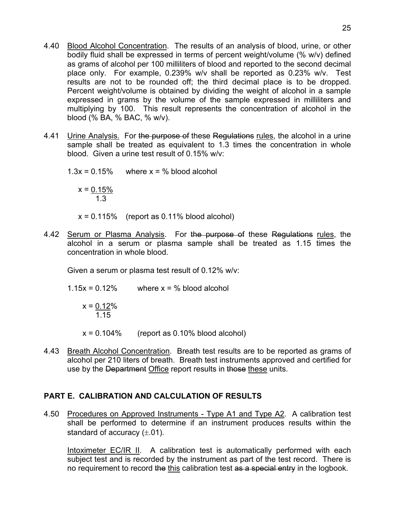- 4.40 Blood Alcohol Concentration. The results of an analysis of blood, urine, or other bodily fluid shall be expressed in terms of percent weight/volume (% w/v) defined as grams of alcohol per 100 milliliters of blood and reported to the second decimal place only. For example, 0.239% w/v shall be reported as 0.23% w/v. Test results are not to be rounded off; the third decimal place is to be dropped. Percent weight/volume is obtained by dividing the weight of alcohol in a sample expressed in grams by the volume of the sample expressed in milliliters and multiplying by 100. This result represents the concentration of alcohol in the blood (% BA, % BAC, % w/v).
- 4.41 Urine Analysis. For the purpose of these Regulations rules, the alcohol in a urine sample shall be treated as equivalent to 1.3 times the concentration in whole blood. Given a urine test result of 0.15% w/v:

 $1.3x = 0.15\%$  where  $x = \%$  blood alcohol  $x = 0.15\%$  1.3  $x = 0.115\%$  (report as 0.11% blood alcohol)

4.42 Serum or Plasma Analysis. For the purpose of these Regulations rules, the alcohol in a serum or plasma sample shall be treated as 1.15 times the concentration in whole blood.

Given a serum or plasma test result of 0.12% w/v:

 $1.15x = 0.12\%$  where  $x = \%$  blood alcohol

$$
x = \underbrace{0.12}_{1.15}\%
$$

 $x = 0.104\%$  (report as 0.10% blood alcohol)

4.43 Breath Alcohol Concentration. Breath test results are to be reported as grams of alcohol per 210 liters of breath. Breath test instruments approved and certified for use by the Department Office report results in those these units.

### **PART E. CALIBRATION AND CALCULATION OF RESULTS**

4.50 Procedures on Approved Instruments - Type A1 and Type A2. A calibration test shall be performed to determine if an instrument produces results within the standard of accuracy  $(\pm .01)$ .

Intoximeter EC/IR II. A calibration test is automatically performed with each subject test and is recorded by the instrument as part of the test record. There is no requirement to record the this calibration test as a special entry in the logbook.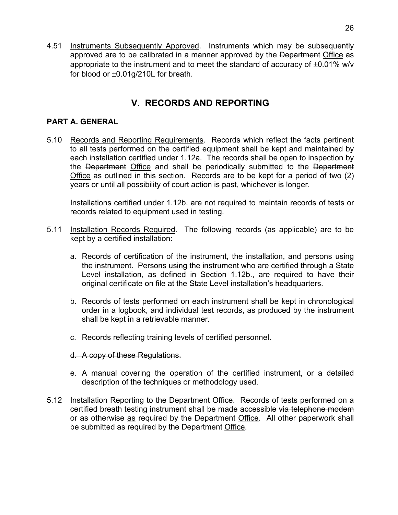4.51 Instruments Subsequently Approved. Instruments which may be subsequently approved are to be calibrated in a manner approved by the Department Office as appropriate to the instrument and to meet the standard of accuracy of  $\pm 0.01\%$  w/v for blood or  $\pm 0.01$ g/210L for breath.

# **V. RECORDS AND REPORTING**

### **PART A. GENERAL**

5.10 Records and Reporting Requirements. Records which reflect the facts pertinent to all tests performed on the certified equipment shall be kept and maintained by each installation certified under 1.12a. The records shall be open to inspection by the Department Office and shall be periodically submitted to the Department Office as outlined in this section. Records are to be kept for a period of two (2) years or until all possibility of court action is past, whichever is longer.

Installations certified under 1.12b. are not required to maintain records of tests or records related to equipment used in testing.

- 5.11 Installation Records Required. The following records (as applicable) are to be kept by a certified installation:
	- a. Records of certification of the instrument, the installation, and persons using the instrument. Persons using the instrument who are certified through a State Level installation, as defined in Section 1.12b., are required to have their original certificate on file at the State Level installation's headquarters.
	- b. Records of tests performed on each instrument shall be kept in chronological order in a logbook, and individual test records, as produced by the instrument shall be kept in a retrievable manner.
	- c. Records reflecting training levels of certified personnel.
	- d. A copy of these Regulations.
	- e. A manual covering the operation of the certified instrument, or a detailed description of the techniques or methodology used.
- 5.12 Installation Reporting to the Department Office. Records of tests performed on a certified breath testing instrument shall be made accessible via telephone modem or as otherwise as required by the Department Office. All other paperwork shall be submitted as required by the Department Office.